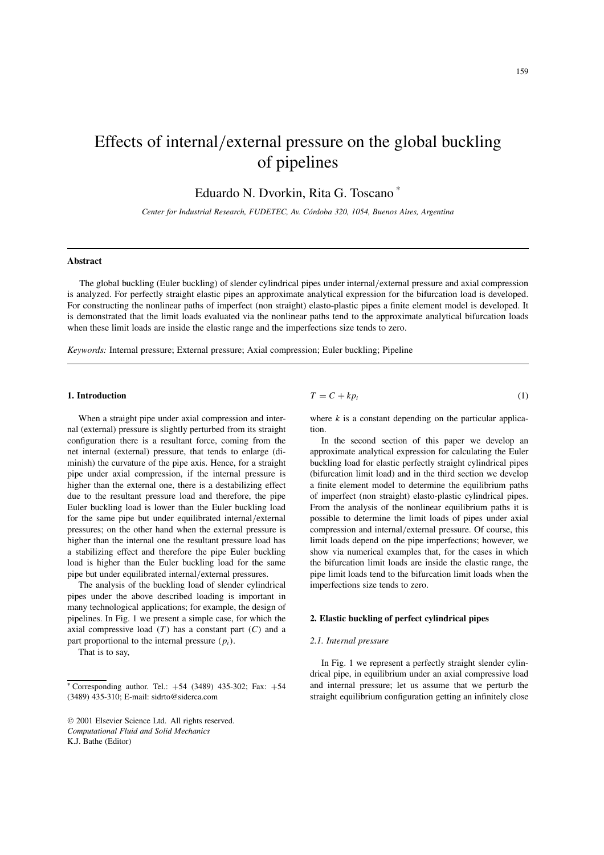# Effects of internal/external pressure on the global buckling of pipelines

Eduardo N. Dvorkin, Rita G. Toscano \*

*Center for Industrial Research, FUDETEC, Av. Co´rdoba 320, 1054, Buenos Aires, Argentina*

## **Abstract**

The global buckling (Euler buckling) of slender cylindrical pipes under internal/external pressure and axial compression is analyzed. For perfectly straight elastic pipes an approximate analytical expression for the bifurcation load is developed. For constructing the nonlinear paths of imperfect (non straight) elasto-plastic pipes a finite element model is developed. It is demonstrated that the limit loads evaluated via the nonlinear paths tend to the approximate analytical bifurcation loads when these limit loads are inside the elastic range and the imperfections size tends to zero.

*Keywords:* Internal pressure; External pressure; Axial compression; Euler buckling; Pipeline

## **1. Introduction**

When a straight pipe under axial compression and internal (external) pressure is slightly perturbed from its straight configuration there is a resultant force, coming from the net internal (external) pressure, that tends to enlarge (diminish) the curvature of the pipe axis. Hence, for a straight pipe under axial compression, if the internal pressure is higher than the external one, there is a destabilizing effect due to the resultant pressure load and therefore, the pipe Euler buckling load is lower than the Euler buckling load for the same pipe but under equilibrated internal/external pressures; on the other hand when the external pressure is higher than the internal one the resultant pressure load has a stabilizing effect and therefore the pipe Euler buckling load is higher than the Euler buckling load for the same pipe but under equilibrated internal/external pressures.

The analysis of the buckling load of slender cylindrical pipes under the above described loading is important in many technological applications; for example, the design of pipelines. In Fig. 1 we present a simple case, for which the axial compressive load  $(T)$  has a constant part  $(C)$  and a part proportional to the internal pressure  $(p_i)$ .

That is to say,

$$
T = C + kp_i \tag{1}
$$

where  $k$  is a constant depending on the particular application.

In the second section of this paper we develop an approximate analytical expression for calculating the Euler buckling load for elastic perfectly straight cylindrical pipes (bifurcation limit load) and in the third section we develop a finite element model to determine the equilibrium paths of imperfect (non straight) elasto-plastic cylindrical pipes. From the analysis of the nonlinear equilibrium paths it is possible to determine the limit loads of pipes under axial compression and internal/external pressure. Of course, this limit loads depend on the pipe imperfections; however, we show via numerical examples that, for the cases in which the bifurcation limit loads are inside the elastic range, the pipe limit loads tend to the bifurcation limit loads when the imperfections size tends to zero.

#### **2. Elastic buckling of perfect cylindrical pipes**

### *2.1. Internal pressure*

In Fig. 1 we represent a perfectly straight slender cylindrical pipe, in equilibrium under an axial compressive load and internal pressure; let us assume that we perturb the straight equilibrium configuration getting an infinitely close

<sup>\*</sup> Corresponding author. Tel.:  $+54$  (3489) 435-302; Fax:  $+54$ (3489) 435-310; E-mail: sidrto@siderca.com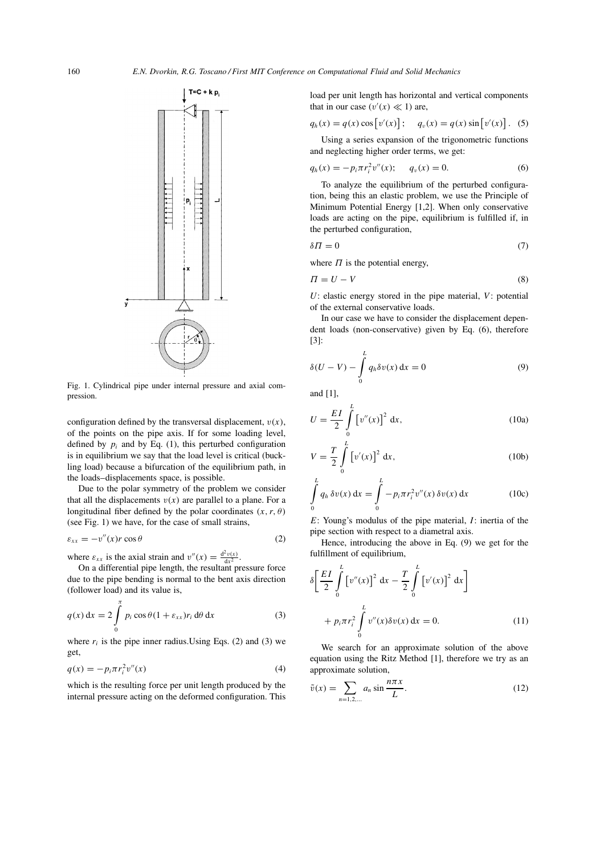

Fig. 1. Cylindrical pipe under internal pressure and axial compression.

configuration defined by the transversal displacement,  $v(x)$ , of the points on the pipe axis. If for some loading level, defined by  $p_i$  and by Eq. (1), this perturbed configuration is in equilibrium we say that the load level is critical (buckling load) because a bifurcation of the equilibrium path, in the loads–displacements space, is possible.

Due to the polar symmetry of the problem we consider that all the displacements  $v(x)$  are parallel to a plane. For a longitudinal fiber defined by the polar coordinates  $(x, r, \theta)$ (see Fig. 1) we have, for the case of small strains,

$$
\varepsilon_{xx} = -v''(x)r\cos\theta\tag{2}
$$

where  $\varepsilon_{xx}$  is the axial strain and  $v''(x) = \frac{d^2v(x)}{dx^2}$ .

On a differential pipe length, the resultant pressure force due to the pipe bending is normal to the bent axis direction (follower load) and its value is,

$$
q(x) dx = 2 \int_{0}^{\pi} p_i \cos \theta (1 + \varepsilon_{xx}) r_i d\theta dx
$$
 (3)

where  $r_i$  is the pipe inner radius. Using Eqs. (2) and (3) we get,

$$
q(x) = -p_i \pi r_i^2 v''(x) \tag{4}
$$

which is the resulting force per unit length produced by the internal pressure acting on the deformed configuration. This load per unit length has horizontal and vertical components that in our case  $(v'(x) \ll 1)$  are,

$$
q_h(x) = q(x) \cos [v'(x)]; \quad q_v(x) = q(x) \sin [v'(x)].
$$
 (5)

Using a series expansion of the trigonometric functions and neglecting higher order terms, we get:

$$
q_h(x) = -p_i \pi r_i^2 v''(x); \qquad q_v(x) = 0.
$$
 (6)

To analyze the equilibrium of the perturbed configuration, being this an elastic problem, we use the Principle of Minimum Potential Energy [1,2]. When only conservative loads are acting on the pipe, equilibrium is fulfilled if, in the perturbed configuration,

$$
\delta \Pi = 0 \tag{7}
$$

where  $\Pi$  is the potential energy,

$$
\Pi = U - V \tag{8}
$$

*U*: elastic energy stored in the pipe material, *V*: potential of the external conservative loads.

In our case we have to consider the displacement dependent loads (non-conservative) given by Eq. (6), therefore [3]:

$$
\delta(U - V) - \int_{0}^{L} q_h \delta v(x) dx = 0
$$
\n(9)

and [1],

$$
U = \frac{EI}{2} \int_{0}^{L} \left[ v''(x) \right]^2 dx,
$$
 (10a)

$$
V = \frac{T}{2} \int_{0}^{L} \left[ v'(x) \right]^2 dx, \tag{10b}
$$

$$
\int_{0}^{L} q_h \, \delta v(x) \, dx = \int_{0}^{L} -p_i \pi r_i^2 v''(x) \, \delta v(x) \, dx \tag{10c}
$$

*E*: Young's modulus of the pipe material, *I*: inertia of the pipe section with respect to a diametral axis.

Hence, introducing the above in Eq. (9) we get for the fulfillment of equilibrium,

$$
\delta \left[ \frac{EI}{2} \int_{0}^{L} \left[ v''(x) \right]^2 dx - \frac{T}{2} \int_{0}^{L} \left[ v'(x) \right]^2 dx \right] + p_i \pi r_i^2 \int_{0}^{L} v''(x) \delta v(x) dx = 0.
$$
 (11)

We search for an approximate solution of the above equation using the Ritz Method [1], therefore we try as an approximate solution,

$$
\tilde{v}(x) = \sum_{n=1,2,\dots} a_n \sin \frac{n\pi x}{L}.
$$
\n(12)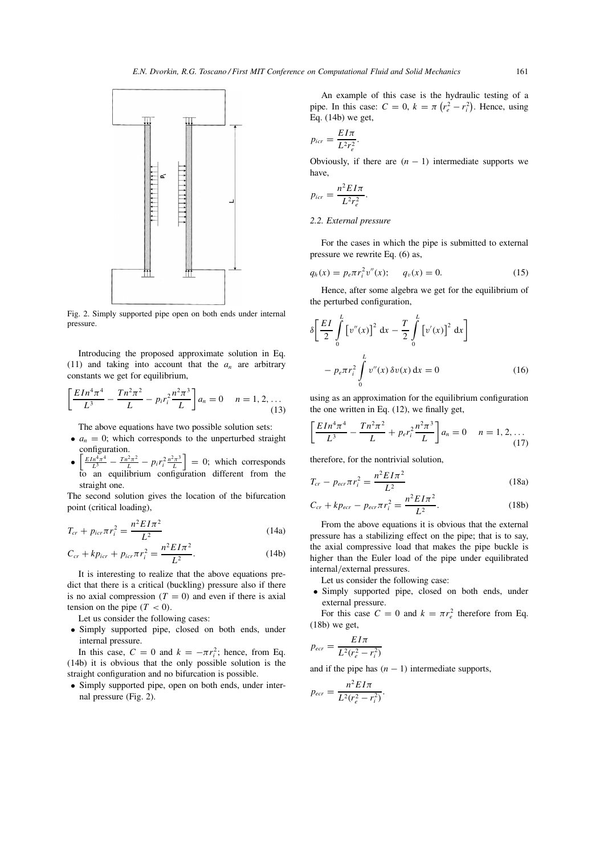

Fig. 2. Simply supported pipe open on both ends under internal pressure.

Introducing the proposed approximate solution in Eq. (11) and taking into account that the  $a_n$  are arbitrary constants we get for equilibrium,

$$
\left[\frac{E I n^4 \pi^4}{L^3} - \frac{T n^2 \pi^2}{L} - p_i r_i^2 \frac{n^2 \pi^3}{L}\right] a_n = 0 \quad n = 1, 2, ...
$$
\n(13)

The above equations have two possible solution sets:

- $a_n = 0$ ; which corresponds to the unperturbed straight configuration.
- ž  $\frac{E I n^4 \pi^4}{L^3} - \frac{T n^2 \pi^2}{L} - p_i r_i^2 \frac{n^2 \pi^3}{L}$  $\Big] = 0$ ; which corresponds to an equilibrium configuration different from the straight one.

The second solution gives the location of the bifurcation point (critical loading),

$$
T_{cr} + p_{icr} \pi r_i^2 = \frac{n^2 E I \pi^2}{L^2}
$$
 (14a)

$$
C_{cr} + k p_{icr} + p_{icr} \pi r_i^2 = \frac{n^2 E I \pi^2}{L^2}.
$$
 (14b)

It is interesting to realize that the above equations predict that there is a critical (buckling) pressure also if there is no axial compression  $(T = 0)$  and even if there is axial tension on the pipe  $(T < 0)$ .

Let us consider the following cases:

• Simply supported pipe, closed on both ends, under internal pressure.

In this case,  $C = 0$  and  $k = -\pi r_i^2$ ; hence, from Eq. (14b) it is obvious that the only possible solution is the straight configuration and no bifurcation is possible.

• Simply supported pipe, open on both ends, under internal pressure (Fig. 2).

An example of this case is the hydraulic testing of a pipe. In this case:  $C = 0$ ,  $k = \pi (r_e^2 - r_i^2)$ . Hence, using Eq. (14b) we get,

$$
p_{icr} = \frac{E I \pi}{L^2 r_e^2}.
$$

Obviously, if there are  $(n - 1)$  intermediate supports we have,

$$
p_{icr} = \frac{n^2 E I \pi}{L^2 r_e^2}.
$$

### *2.2. External pressure*

For the cases in which the pipe is submitted to external pressure we rewrite Eq. (6) as,

$$
q_h(x) = p_e \pi r_i^2 v''(x); \qquad q_v(x) = 0.
$$
 (15)

Hence, after some algebra we get for the equilibrium of the perturbed configuration,

$$
\delta \left[ \frac{EI}{2} \int_{0}^{L} \left[ v''(x) \right]^2 dx - \frac{T}{2} \int_{0}^{L} \left[ v'(x) \right]^2 dx \right] - p_e \pi r_i^2 \int_{0}^{L} v''(x) \, \delta v(x) \, dx = 0 \tag{16}
$$

using as an approximation for the equilibrium configuration the one written in Eq. (12), we finally get,

$$
\left[\frac{E I n^4 \pi^4}{L^3} - \frac{T n^2 \pi^2}{L} + p_e r_i^2 \frac{n^2 \pi^3}{L}\right] a_n = 0 \quad n = 1, 2, ...
$$
\n(17)

therefore, for the nontrivial solution,

$$
T_{cr} - p_{ecr} \pi r_i^2 = \frac{n^2 E I \pi^2}{L^2}
$$
 (18a)

$$
C_{cr} + k p_{ecr} - p_{ecr} \pi r_i^2 = \frac{n^2 E I \pi^2}{L^2}.
$$
 (18b)

From the above equations it is obvious that the external pressure has a stabilizing effect on the pipe; that is to say, the axial compressive load that makes the pipe buckle is higher than the Euler load of the pipe under equilibrated internal/external pressures.

Let us consider the following case:

• Simply supported pipe, closed on both ends, under external pressure.

For this case  $C = 0$  and  $k = \pi r_e^2$  therefore from Eq. (18b) we get,

$$
p_{ecr} = \frac{E I \pi}{L^2 (r_e^2 - r_i^2)}
$$

and if the pipe has  $(n - 1)$  intermediate supports,

:

$$
p_{ecr} = \frac{n^2 E I \pi}{L^2 (r_e^2 - r_i^2)}
$$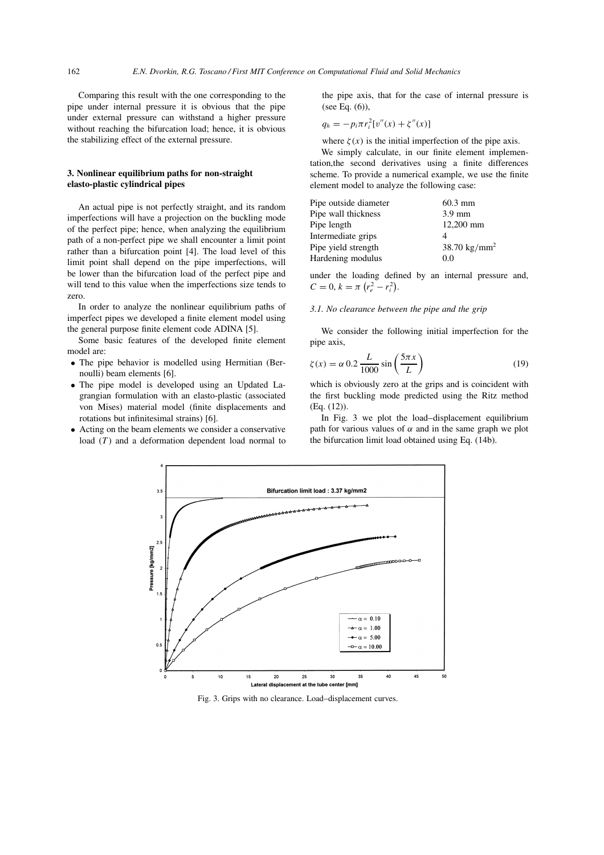Comparing this result with the one corresponding to the pipe under internal pressure it is obvious that the pipe under external pressure can withstand a higher pressure without reaching the bifurcation load; hence, it is obvious the stabilizing effect of the external pressure.

## **3. Nonlinear equilibrium paths for non-straight elasto-plastic cylindrical pipes**

An actual pipe is not perfectly straight, and its random imperfections will have a projection on the buckling mode of the perfect pipe; hence, when analyzing the equilibrium path of a non-perfect pipe we shall encounter a limit point rather than a bifurcation point [4]. The load level of this limit point shall depend on the pipe imperfections, will be lower than the bifurcation load of the perfect pipe and will tend to this value when the imperfections size tends to zero.

In order to analyze the nonlinear equilibrium paths of imperfect pipes we developed a finite element model using the general purpose finite element code ADINA [5].

Some basic features of the developed finite element model are:

- The pipe behavior is modelled using Hermitian (Bernoulli) beam elements [6].
- The pipe model is developed using an Updated Lagrangian formulation with an elasto-plastic (associated von Mises) material model (finite displacements and rotations but infinitesimal strains) [6].
- Acting on the beam elements we consider a conservative load (*T* ) and a deformation dependent load normal to

the pipe axis, that for the case of internal pressure is (see Eq. (6)),

$$
q_h = -p_i \pi r_i^2 [v''(x) + \zeta''(x)]
$$

where  $\zeta(x)$  is the initial imperfection of the pipe axis.

We simply calculate, in our finite element implementation,the second derivatives using a finite differences scheme. To provide a numerical example, we use the finite element model to analyze the following case:

| Pipe outside diameter | $60.3 \text{ mm}$        |
|-----------------------|--------------------------|
| Pipe wall thickness   | $3.9 \text{ mm}$         |
| Pipe length           | 12,200 mm                |
| Intermediate grips    | 4                        |
| Pipe yield strength   | 38.70 kg/mm <sup>2</sup> |
| Hardening modulus     | 0.0                      |

under the loading defined by an internal pressure and,  $C = 0, k = \pi (r_e^2 - r_i^2).$ 

## *3.1. No clearance between the pipe and the grip*

We consider the following initial imperfection for the pipe axis,

$$
\zeta(x) = \alpha \ 0.2 \ \frac{L}{1000} \sin\left(\frac{5\pi x}{L}\right) \tag{19}
$$

which is obviously zero at the grips and is coincident with the first buckling mode predicted using the Ritz method (Eq. (12)).

In Fig. 3 we plot the load–displacement equilibrium path for various values of  $\alpha$  and in the same graph we plot the bifurcation limit load obtained using Eq. (14b).



Fig. 3. Grips with no clearance. Load–displacement curves.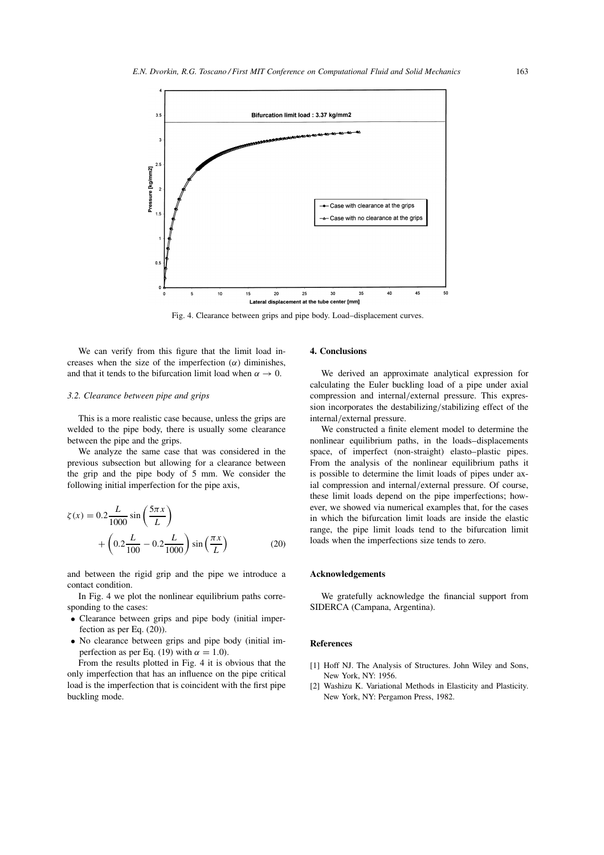

Fig. 4. Clearance between grips and pipe body. Load–displacement curves.

We can verify from this figure that the limit load increases when the size of the imperfection  $(\alpha)$  diminishes, and that it tends to the bifurcation limit load when  $\alpha \to 0$ .

## *3.2. Clearance between pipe and grips*

This is a more realistic case because, unless the grips are welded to the pipe body, there is usually some clearance between the pipe and the grips.

We analyze the same case that was considered in the previous subsection but allowing for a clearance between the grip and the pipe body of 5 mm. We consider the following initial imperfection for the pipe axis,

$$
\zeta(x) = 0.2 \frac{L}{1000} \sin\left(\frac{5\pi x}{L}\right) + \left(0.2 \frac{L}{100} - 0.2 \frac{L}{1000}\right) \sin\left(\frac{\pi x}{L}\right)
$$
 (20)

and between the rigid grip and the pipe we introduce a contact condition.

In Fig. 4 we plot the nonlinear equilibrium paths corresponding to the cases:

- Clearance between grips and pipe body (initial imperfection as per Eq. (20)).
- No clearance between grips and pipe body (initial imperfection as per Eq. (19) with  $\alpha = 1.0$ ).

From the results plotted in Fig. 4 it is obvious that the only imperfection that has an influence on the pipe critical load is the imperfection that is coincident with the first pipe buckling mode.

## **4. Conclusions**

We derived an approximate analytical expression for calculating the Euler buckling load of a pipe under axial compression and internal/external pressure. This expression incorporates the destabilizing/stabilizing effect of the internal/external pressure.

We constructed a finite element model to determine the nonlinear equilibrium paths, in the loads–displacements space, of imperfect (non-straight) elasto–plastic pipes. From the analysis of the nonlinear equilibrium paths it is possible to determine the limit loads of pipes under axial compression and internal/external pressure. Of course, these limit loads depend on the pipe imperfections; however, we showed via numerical examples that, for the cases in which the bifurcation limit loads are inside the elastic range, the pipe limit loads tend to the bifurcation limit loads when the imperfections size tends to zero.

#### **Acknowledgements**

We gratefully acknowledge the financial support from SIDERCA (Campana, Argentina).

## **References**

- [1] Hoff NJ. The Analysis of Structures. John Wiley and Sons, New York, NY: 1956.
- [2] Washizu K. Variational Methods in Elasticity and Plasticity. New York, NY: Pergamon Press, 1982.